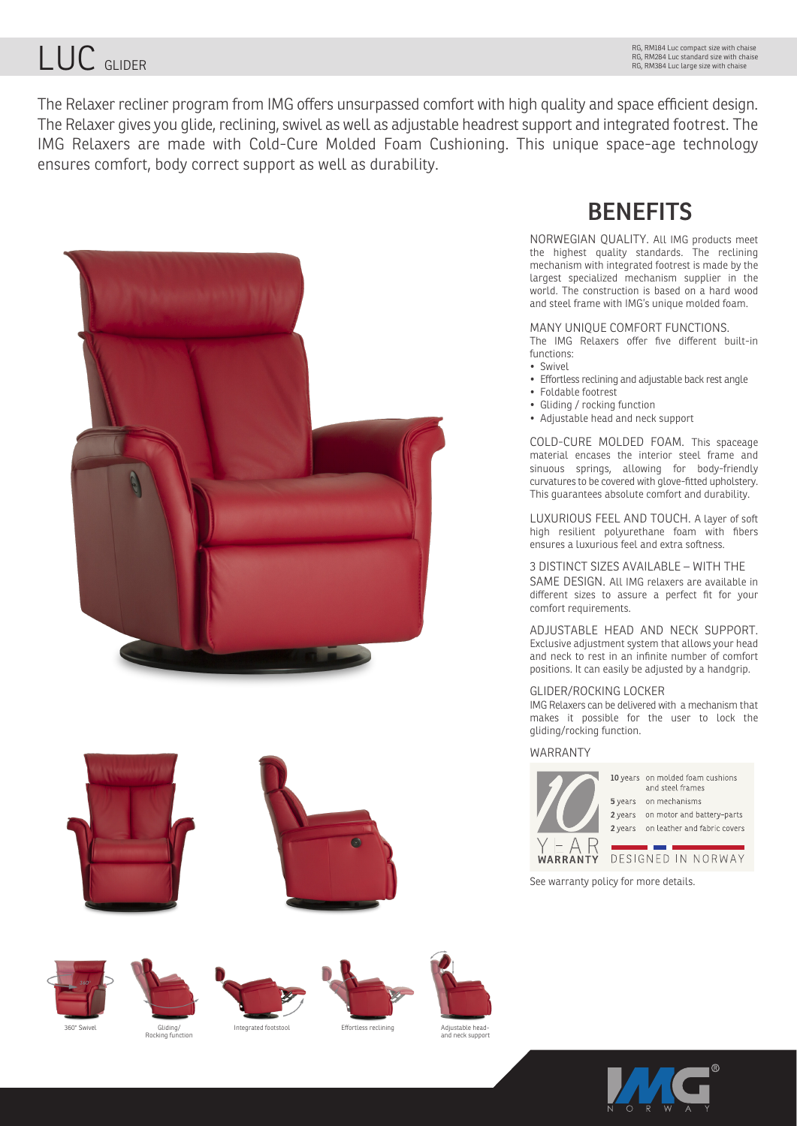# LUC GLIDER

The Relaxer recliner program from IMG offers unsurpassed comfort with high quality and space efficient design. The Relaxer gives you glide, reclining, swivel as well as adjustable headrest support and integrated footrest. The IMG Relaxers are made with Cold-Cure Molded Foam Cushioning. This unique space-age technology ensures comfort, body correct support as well as durability.















Adjustable headajustuote ne<br>nd neck supi



NORWEGIAN QUALITY. All IMG products meet the highest quality standards. The reclining mechanism with integrated footrest is made by the largest specialized mechanism supplier in the world. The construction is based on a hard wood and steel frame with IMG's unique molded foam.

#### MANY UNIQUE COMFORT FUNCTIONS.

The IMG Relaxers offer five different built-in functions:

- Swivel
- Effortless reclining and adjustable back rest angle
- Foldable footrest
- Gliding / rocking function
- Adjustable head and neck support

COLD-CURE MOLDED FOAM. This spaceage material encases the interior steel frame and sinuous springs, allowing for body-friendly curvatures to be covered with glove-fitted upholstery. This guarantees absolute comfort and durability.

LUXURIOUS FEEL AND TOUCH. A layer of soft high resilient polyurethane foam with fibers ensures a luxurious feel and extra softness.

#### 3 DISTINCT SIZES AVAILABLE – WITH THE

SAME DESIGN. All IMG relaxers are available in different sizes to assure a perfect fit for your comfort requirements.

ADJUSTABLE HEAD AND NECK SUPPORT. Exclusive adjustment system that allows your head and neck to rest in an infinite number of comfort positions. It can easily be adjusted by a handgrip.

### GLIDER/ROCKING LOCKER

IMG Relaxers can be delivered with a mechanism that makes it possible for the user to lock the gliding/rocking function.

## WARRANTY



10 years on molded foam cushions and steel frames 5 years on mechanisms 2 years on motor and battery-parts 2 years on leather and fabric covers

DESIGNED IN NORWAY WARRANTY

See warranty policy for more details.



adding,<br>ing function

Gliding/ Integrated footstool Effortless reclining<br>Rocking function